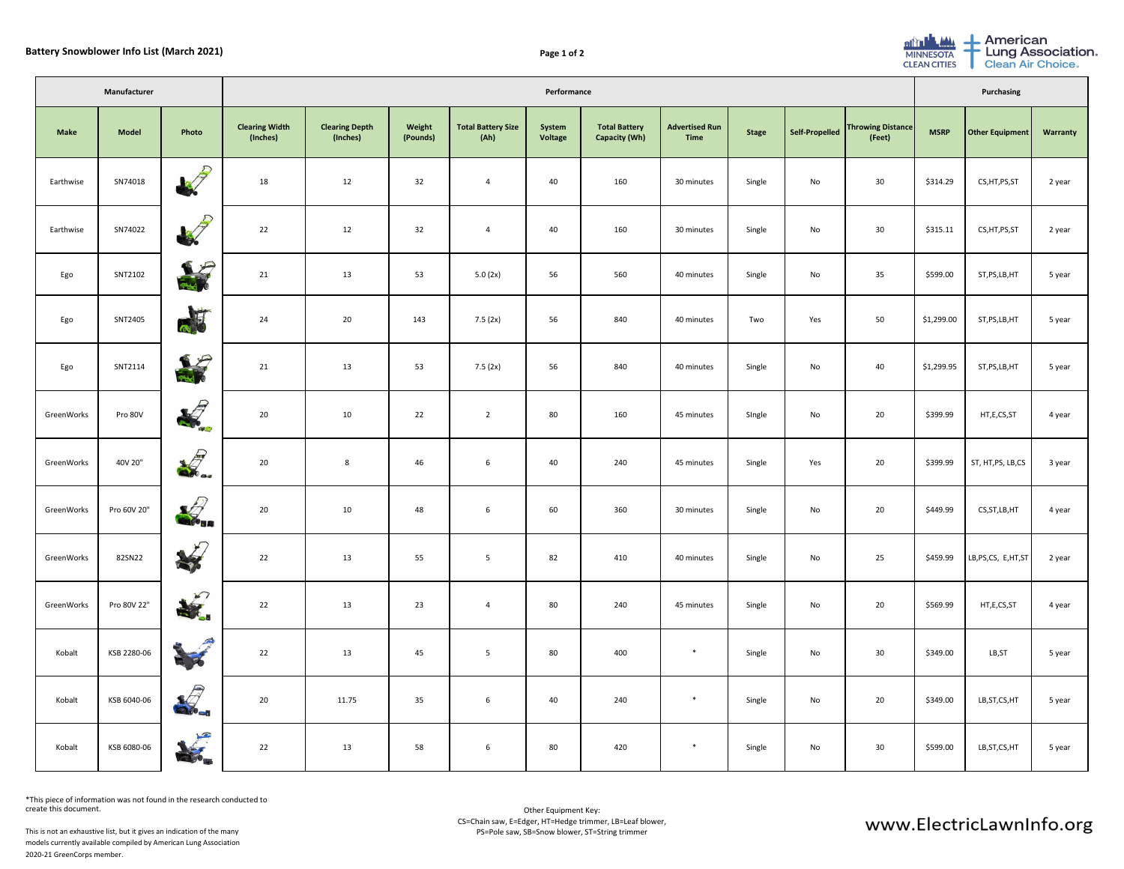| Manufacturer |              |                             | Performance                       |                                   |                    |                                   |                          |                                              |                                      |              |                       |                                    | Purchasing  |                       |                 |  |
|--------------|--------------|-----------------------------|-----------------------------------|-----------------------------------|--------------------|-----------------------------------|--------------------------|----------------------------------------------|--------------------------------------|--------------|-----------------------|------------------------------------|-------------|-----------------------|-----------------|--|
| <b>Make</b>  | <b>Model</b> | Photo                       | <b>Clearing Width</b><br>(Inches) | <b>Clearing Depth</b><br>(Inches) | Weight<br>(Pounds) | <b>Total Battery Size</b><br>(Ah) | System<br><b>Voltage</b> | <b>Total Battery</b><br><b>Capacity (Wh)</b> | <b>Advertised Run</b><br><b>Time</b> | <b>Stage</b> | <b>Self-Propelled</b> | <b>Throwing Distance</b><br>(Feet) | <b>MSRP</b> | Other Equipment       | <b>Warranty</b> |  |
| Earthwise    | SN74018      | B                           | 18                                | 12                                | 32                 |                                   | 40                       | 160                                          | 30 minutes                           | Single       | No                    | 30                                 | \$314.29    | CS, HT, PS, ST        | 2 year          |  |
| Earthwise    | SN74022      | 37                          | 22                                | 12                                | 32                 | 4                                 | 40                       | 160                                          | 30 minutes                           | Single       | No                    | 30                                 | \$315.11    | CS, HT, PS, ST        | 2 year          |  |
| Ego          | SNT2102      | 一                           | 21                                | 13                                | 53                 | 5.0(2x)                           | 56                       | 560                                          | 40 minutes                           | Single       | No                    | 35                                 | \$599.00    | ST, PS, LB, HT        | 5 year          |  |
| Ego          | SNT2405      | 高艺                          | 24                                | $20\degree$                       | 143                | 7.5(2x)                           | 56                       | 840                                          | 40 minutes                           | Two          | Yes                   | 50                                 | \$1,299.00  | ST, PS, LB, HT        | 5 year          |  |
| Ego          | SNT2114      | 海                           | 21                                | 13                                | 53                 | 7.5(2x)                           | 56                       | 840                                          | 40 minutes                           | Single       | No                    | 40                                 | \$1,299.95  | ST, PS, LB, HT        | 5 year          |  |
| GreenWorks   | Pro 80V      | 2                           | 20                                | 10                                | 22                 |                                   | 80                       | 160                                          | 45 minutes                           | Single       | No                    | 20                                 | \$399.99    | HT,E,CS,ST            | 4 year          |  |
| GreenWorks   | 40V 20"      | $\frac{1}{2}$               | 20                                | 8                                 | 46                 | 6                                 | 40                       | 240                                          | 45 minutes                           | Single       | Yes                   | 20                                 | \$399.99    | ST, HT,PS, LB,CS      | 3 year          |  |
| GreenWorks   | Pro 60V 20"  | $\mathbf{K}_{\mathbf{u}}$   | 20                                | 10                                | 48                 | $6\overline{6}$                   | 60                       | 360                                          | 30 minutes                           | Single       | No                    | 20                                 | \$449.99    | CS, ST, LB, HT        | 4 year          |  |
| GreenWorks   | 82SN22       | $\sqrt{ }$<br>37            | 22                                | 13                                | 55                 | 5                                 | 82                       | 410                                          | 40 minutes                           | Single       | No                    | 25                                 | \$459.99    | LB, PS, CS, E, HT, ST | 2 year          |  |
| GreenWorks   | Pro 80V 22"  | $\sqrt{2}$<br>37            | 22                                | 13                                | 23                 | 4                                 | 80                       | 240                                          | 45 minutes                           | Single       | No                    | 20                                 | \$569.99    | HT,E,CS,ST            | 4 year          |  |
| Kobalt       | KSB 2280-06  | $\mathcal{F}$<br>高尾         | 22                                | 13                                | 45                 | 5 <sub>5</sub>                    | 80                       | 400                                          | $*$                                  | Single       | No                    | 30 <sup>°</sup>                    | \$349.00    | LB, ST                | 5 year          |  |
| Kobalt       | KSB 6040-06  | $\frac{1}{2}$               | 20                                | 11.75                             | 35                 | $6\overline{6}$                   | 40                       | 240                                          | $*$                                  | Single       | No                    | 20                                 | \$349.00    | LB, ST, CS, HT        | 5 year          |  |
| Kobalt       | KSB 6080-06  | $\sqrt{2}$<br><b>READER</b> | 22                                | 13                                | 58                 | $6\overline{6}$                   | 80                       | 420                                          | $*$                                  | Single       | No                    | 30 <sup>°</sup>                    | \$599.00    | LB, ST, CS, HT        | 5 year          |  |

\*This piece of information was not found in the research conducted to create this document.

This is not an exhaustive list, but it gives an indication of the many models currently available compiled by American Lung Association 2020-21 GreenCorps member.



|  | <b>Lung Association.</b> |  |
|--|--------------------------|--|
|  | <b>Clean Air Choice.</b> |  |

## www.ElectricLawnInfo.org